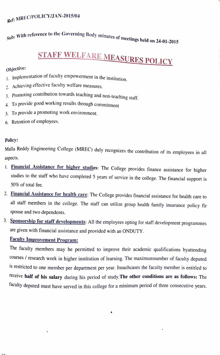Ref: MREC/POLICY/JAN-2015/04

Sub: With reference to the Governing Body minutes of meetings held on 24-01-2015

# STAFF WELFARE MEASURES POLICY

### Objective:

- 1. Implementation of faculty empowerment in the institution.
- 2. Achieving effective faculty welfare measures.
- 3. Promoting contribution towards teaching and non-teaching staff.
- 4 To provide good working results through commitment
- 5. To provide a promoting work environment.
- 6. Retention of employees.

#### Policy:

Malla Reddy Engineering College (MREC) duly recognizes the contribution of its employees in al

- aspects.<br>1. Financial Assistance for higher studies: The College provides finance assistance for higher studies to the staff who have completed 5 years of service in the college. The financial support is 50% of total fee.
- 2. Financial Assistance for health care: The College provides financial assistance for health care to all staff members in the college. The staff can utilize group health family insurance policy fir spouse and two dependents.
- 3. Sponsorship for staff developments: All the employees opting for staff development programmes are given with financial assistance and provided with an ONDUTY

## Faculty Improvement Program

The faculty members may be permitted to improve their academic qualifications byattending courses/ research work in higher institution of leaning. The maximumnumber of faculty deputed 15 restricted to one member per department per year. Insuchcases the faculty member is entitled to receive half of his salary during his period of study. The other conditions are as follows: The faculty deputed must have served in this college for a minimum period of three consecutive years.

 $\bullet$